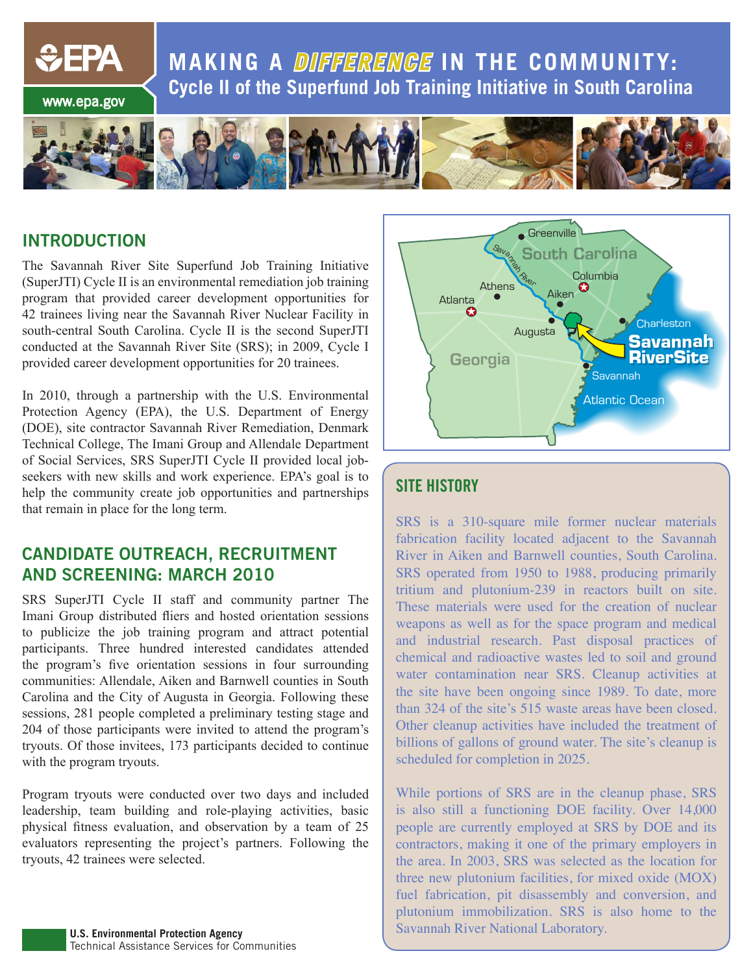**MAKING A DIFFERENGE IN THE COMMUNITY: Cycle II of the Superfund Job Training Initiative in South Carolina**



#### **INTRODUCTION**

www.epa.gov

*<u>CHPA</u>* 

The Savannah River Site Superfund Job Training Initiative (SuperJTI) Cycle II is an environmental remediation job training program that provided career development opportunities for 42 trainees living near the Savannah River Nuclear Facility in south-central South Carolina. Cycle II is the second SuperJTI conducted at the Savannah River Site (SRS); in 2009, Cycle I provided career development opportunities for 20 trainees.

In 2010, through a partnership with the U.S. Environmental Protection Agency (EPA), the U.S. Department of Energy (DOE), site contractor Savannah River Remediation, Denmark Technical College, The Imani Group and Allendale Department of Social Services, SRS SuperJTI Cycle II provided local jobseekers with new skills and work experience. EPA's goal is to help the community create job opportunities and partnerships that remain in place for the long term.

#### **CANDIDATE OUTREACH, RECRUITMENT AND SCREENING: MARCH 2010**

SRS SuperJTI Cycle II staff and community partner The Imani Group distributed fliers and hosted orientation sessions to publicize the job training program and attract potential participants. Three hundred interested candidates attended the program's five orientation sessions in four surrounding communities: Allendale, Aiken and Barnwell counties in South Carolina and the City of Augusta in Georgia. Following these sessions, 281 people completed a preliminary testing stage and 204 of those participants were invited to attend the program's tryouts. Of those invitees, 173 participants decided to continue with the program tryouts.

Program tryouts were conducted over two days and included leadership, team building and role-playing activities, basic physical fitness evaluation, and observation by a team of 25 evaluators representing the project's partners. Following the tryouts, 42 trainees were selected.



### **SITE HISTORY**

SRS is a 310-square mile former nuclear materials fabrication facility located adjacent to the Savannah River in Aiken and Barnwell counties, South Carolina. SRS operated from 1950 to 1988, producing primarily tritium and plutonium-239 in reactors built on site. These materials were used for the creation of nuclear weapons as well as for the space program and medical and industrial research. Past disposal practices of chemical and radioactive wastes led to soil and ground water contamination near SRS. Cleanup activities at the site have been ongoing since 1989. To date, more than 324 of the site's 515 waste areas have been closed. Other cleanup activities have included the treatment of billions of gallons of ground water. The site's cleanup is scheduled for completion in 2025.

While portions of SRS are in the cleanup phase, SRS is also still a functioning DOE facility. Over 14,000 people are currently employed at SRS by DOE and its contractors, making it one of the primary employers in the area. In 2003, SRS was selected as the location for three new plutonium facilities, for mixed oxide (MOX) fuel fabrication, pit disassembly and conversion, and plutonium immobilization. SRS is also home to the Savannah River National Laboratory.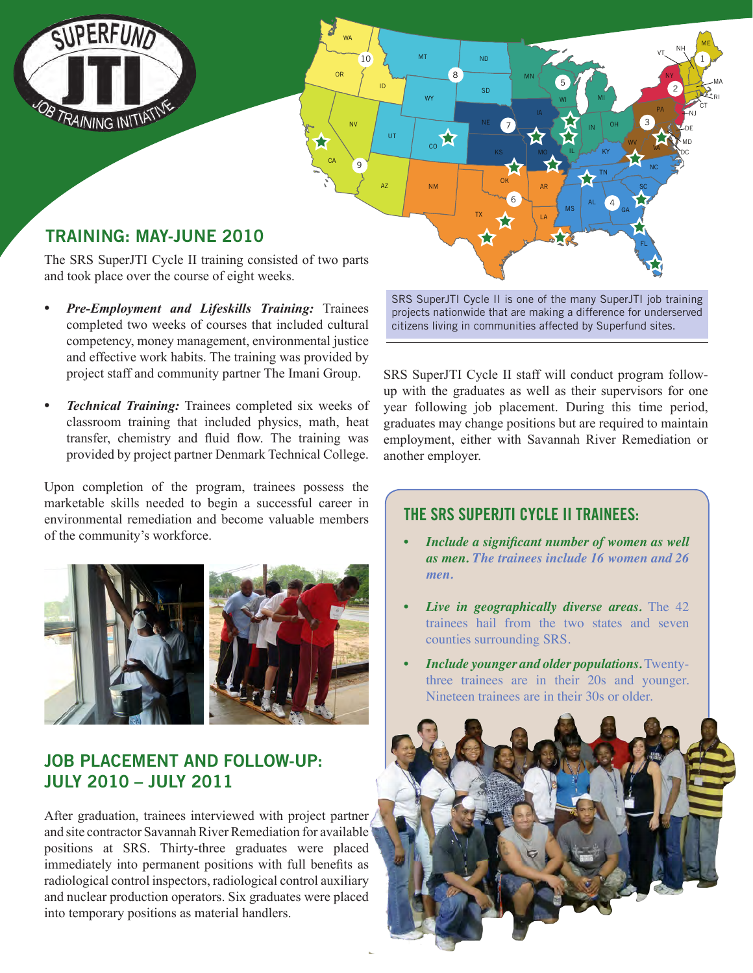

## **TRAINING: MAY-JUNE 2010**

The SRS SuperJTI Cycle II training consisted of two parts and took place over the course of eight weeks.

10

ID

UT

 $AZ \qquad \qquad$  NM

WA

OR

CA

8

ND

SD

TX

MT

WY

 $\alpha$ 

9

NV

- *Pre-Employment and Lifeskills Training: Trainees* completed two weeks of courses that included cultural competency, money management, environmental justice and effective work habits. The training was provided by project staff and community partner The Imani Group.
- *Technical Training:* Trainees completed six weeks of classroom training that included physics, math, heat transfer, chemistry and fluid flow. The training was provided by project partner Denmark Technical College.

Upon completion of the program, trainees possess the marketable skills needed to begin a successful career in environmental remediation and become valuable members of the community's workforce.



#### **JOB PLACEMENT AND FOLLOW-UP: JULY 2010 – JULY 2011**

After graduation, trainees interviewed with project partner and site contractor Savannah River Remediation for available positions at SRS. Thirty-three graduates were placed immediately into permanent positions with full benefits as radiological control inspectors, radiological control auxiliary and nuclear production operators. Six graduates were placed into temporary positions as material handlers.

SRS SuperJTI Cycle II is one of the many SuperJTI job training projects nationwide that are making a difference for underserved citizens living in communities affected by Superfund sites.

LA

5

WI

IL

MS

IN

 $N$ E 7  $\sim$   $N$   $\sim$   $N$  or  $\sim$   $\sim$   $\sim$ 

AL

MI

4

GA

FL

SC NC WV vA

OH

KY TN

3

PA

2

DC MD

NJ CT

NY

vt. <sup>NH</sup>

1

ME

RI MA

6

OK AR

MN

7

KS

SRS SuperJTI Cycle II staff will conduct program followup with the graduates as well as their supervisors for one year following job placement. During this time period, graduates may change positions but are required to maintain employment, either with Savannah River Remediation or another employer.

#### **THE SRS SUPERJTI CYCLE II TRAINEES:**

- *• Include a significant number of women as well as men. The trainees include 16 women and 26 men.*
- *Live in geographically diverse areas.* The 42 trainees hail from the two states and seven counties surrounding SRS.
- *Include younger and older populations.* Twentythree trainees are in their 20s and younger. Nineteen trainees are in their 30s or older.

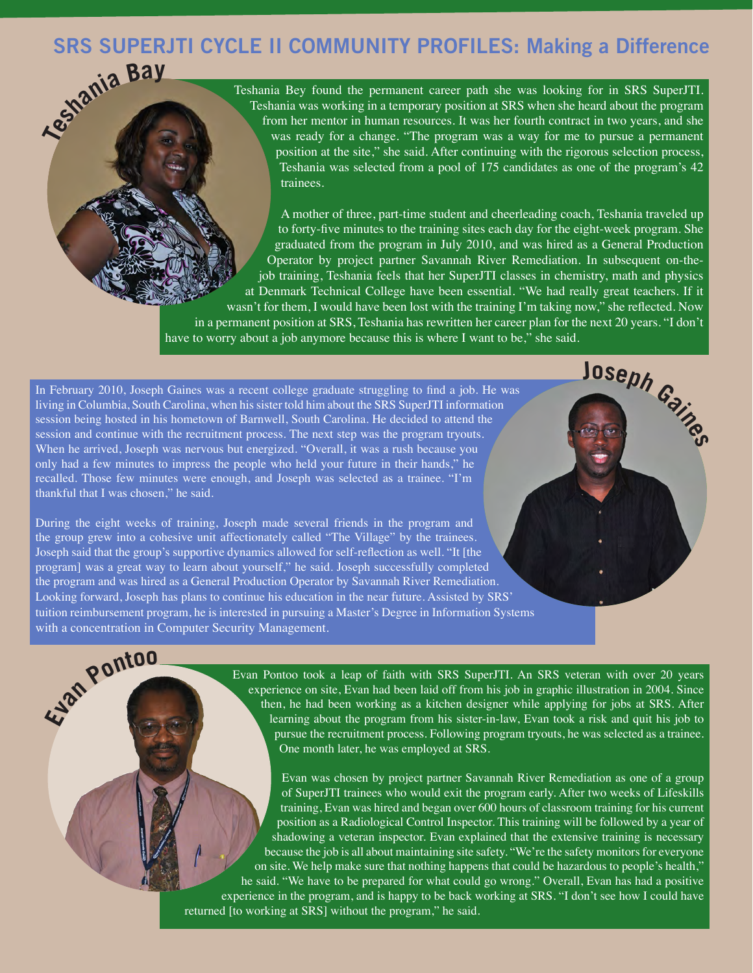# **Teshani<sup>a</sup> <sup>B</sup>a<sup>y</sup> SRS SUPERJTI CYCLE II COMMUNITY PROFILES: Making a Difference**

Teshania Bey found the permanent career path she was looking for in SRS SuperJTI. Teshania was working in a temporary position at SRS when she heard about the program from her mentor in human resources. It was her fourth contract in two years, and she was ready for a change. "The program was a way for me to pursue a permanent position at the site," she said. After continuing with the rigorous selection process, Teshania was selected from a pool of 175 candidates as one of the program's 42 trainees.

A mother of three, part-time student and cheerleading coach, Teshania traveled up to forty-five minutes to the training sites each day for the eight-week program. She graduated from the program in July 2010, and was hired as a General Production Operator by project partner Savannah River Remediation. In subsequent on-thejob training, Teshania feels that her SuperJTI classes in chemistry, math and physics at Denmark Technical College have been essential. "We had really great teachers. If it wasn't for them, I would have been lost with the training I'm taking now," she reflected. Now in a permanent position at SRS, Teshania has rewritten her career plan for the next 20 years. "I don't have to worry about a job anymore because this is where I want to be," she said. **<sup>J</sup>osep<sup>h</sup> <sup>G</sup>aine<sup>s</sup>**

In February 2010, Joseph Gaines was a recent college graduate struggling to find a job. He was living in Columbia, South Carolina, when his sister told him about the SRS SuperJTI information session being hosted in his hometown of Barnwell, South Carolina. He decided to attend the session and continue with the recruitment process. The next step was the program tryouts. When he arrived, Joseph was nervous but energized. "Overall, it was a rush because you only had a few minutes to impress the people who held your future in their hands," he recalled. Those few minutes were enough, and Joseph was selected as a trainee. "I'm thankful that I was chosen," he said.

During the eight weeks of training, Joseph made several friends in the program and the group grew into a cohesive unit affectionately called "The Village" by the trainees. Joseph said that the group's supportive dynamics allowed for self-reflection as well. "It [the program] was a great way to learn about yourself," he said. Joseph successfully completed the program and was hired as a General Production Operator by Savannah River Remediation. Looking forward, Joseph has plans to continue his education in the near future. Assisted by SRS' tuition reimbursement program, he is interested in pursuing a Master's Degree in Information Systems with a concentration in Computer Security Management. **Eva<sup>n</sup> <sup>P</sup>onto<sup>o</sup>**

Evan Pontoo took a leap of faith with SRS SuperJTI. An SRS veteran with over 20 years experience on site, Evan had been laid off from his job in graphic illustration in 2004. Since then, he had been working as a kitchen designer while applying for jobs at SRS. After learning about the program from his sister-in-law, Evan took a risk and quit his job to pursue the recruitment process. Following program tryouts, he was selected as a trainee. One month later, he was employed at SRS.

Evan was chosen by project partner Savannah River Remediation as one of a group of SuperJTI trainees who would exit the program early. After two weeks of Lifeskills training, Evan was hired and began over 600 hours of classroom training for his current position as a Radiological Control Inspector. This training will be followed by a year of shadowing a veteran inspector. Evan explained that the extensive training is necessary because the job is all about maintaining site safety. "We're the safety monitors for everyone on site. We help make sure that nothing happens that could be hazardous to people's health," he said. "We have to be prepared for what could go wrong." Overall, Evan has had a positive experience in the program, and is happy to be back working at SRS. "I don't see how I could have returned [to working at SRS] without the program," he said.